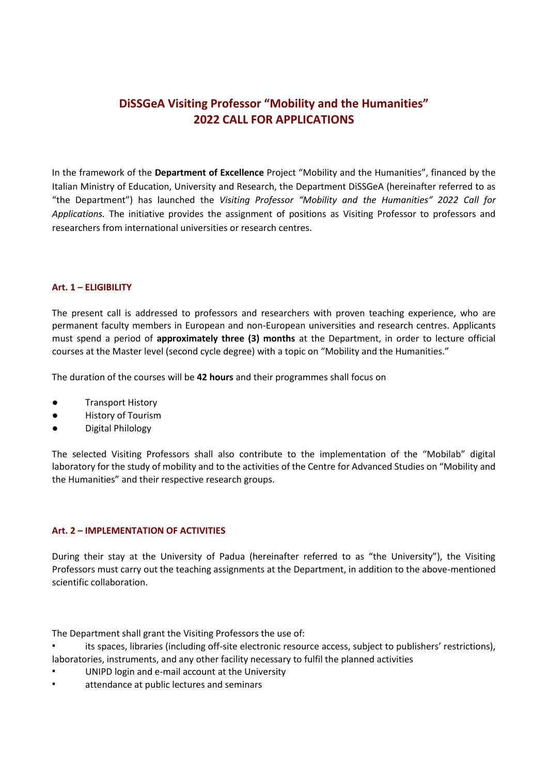# **DiSSGeA Visiting Professor "Mobility and the Humanities" 2022 CALL FOR APPLICATIONS**

In the framework of the **Department of Excellence** Project "Mobility and the Humanities", financed by the Italian Ministry of Education, University and Research, the Department DiSSGeA (hereinafter referred to as "the Department") has launched the *Visiting Professor "Mobility and the Humanities" 2022 Call for Applications.* The initiative provides the assignment of positions as Visiting Professor to professors and researchers from international universities or research centres.

## **Art. 1 – ELIGIBILITY**

The present call is addressed to professors and researchers with proven teaching experience, who are permanent faculty members in European and non-European universities and research centres. Applicants must spend a period of **approximately three (3) months** at the Department, in order to lecture official courses at the Master level (second cycle degree) with a topic on "Mobility and the Humanities."

The duration of the courses will be **42 hours** and their programmes shall focus on

- **Transport History**
- **History of Tourism**
- Digital Philology

The selected Visiting Professors shall also contribute to the implementation of the "Mobilab" digital laboratory for the study of mobility and to the activities of the Centre for Advanced Studies on "Mobility and the Humanities" and their respective research groups.

### **Art. 2 – IMPLEMENTATION OF ACTIVITIES**

During their stay at the University of Padua (hereinafter referred to as "the University"), the Visiting Professors must carry out the teaching assignments at the Department, in addition to the above-mentioned scientific collaboration.

The Department shall grant the Visiting Professors the use of:

its spaces, libraries (including off-site electronic resource access, subject to publishers' restrictions), laboratories, instruments, and any other facility necessary to fulfil the planned activities

- UNIPD login and e-mail account at the University
- attendance at public lectures and seminars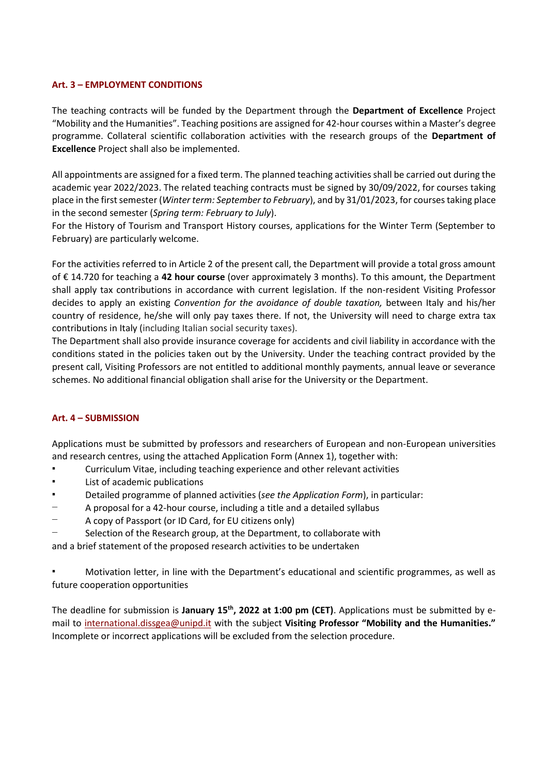### **Art. 3 – EMPLOYMENT CONDITIONS**

The teaching contracts will be funded by the Department through the **Department of Excellence** Project "Mobility and the Humanities". Teaching positions are assigned for 42-hour courses within a Master's degree programme. Collateral scientific collaboration activities with the research groups of the **Department of Excellence** Project shall also be implemented.

All appointments are assigned for a fixed term. The planned teaching activities shall be carried out during the academic year 2022/2023. The related teaching contracts must be signed by 30/09/2022, for courses taking place in the first semester (*Winter term: September to February*), and by 31/01/2023, for courses taking place in the second semester (*Spring term: February to July*).

For the History of Tourism and Transport History courses, applications for the Winter Term (September to February) are particularly welcome.

For the activities referred to in Article 2 of the present call, the Department will provide a total gross amount of € 14.720 for teaching a **42 hour course** (over approximately 3 months). To this amount, the Department shall apply tax contributions in accordance with current legislation. If the non-resident Visiting Professor decides to apply an existing *Convention for the avoidance of double taxation,* between Italy and his/her country of residence, he/she will only pay taxes there. If not, the University will need to charge extra tax contributions in Italy (including Italian social security taxes).

The Department shall also provide insurance coverage for accidents and civil liability in accordance with the conditions stated in the policies taken out by the University. Under the teaching contract provided by the present call, Visiting Professors are not entitled to additional monthly payments, annual leave or severance schemes. No additional financial obligation shall arise for the University or the Department.

### **Art. 4 – SUBMISSION**

Applications must be submitted by professors and researchers of European and non-European universities and research centres, using the attached Application Form (Annex 1), together with:

- Curriculum Vitae, including teaching experience and other relevant activities
- List of academic publications
- Detailed programme of planned activities (*see the Application Form*), in particular:
- − A proposal for a 42-hour course, including a title and a detailed syllabus
- − A copy of Passport (or ID Card, for EU citizens only)
- Selection of the Research group, at the Department, to collaborate with

and a brief statement of the proposed research activities to be undertaken

Motivation letter, in line with the Department's educational and scientific programmes, as well as future cooperation opportunities

The deadline for submission is **January 15th , 2022 at 1:00 pm (CET)**. Applications must be submitted by email to [international.dissgea@unipd.it](mailto:international.dissgea@unipd.it) with the subject **Visiting Professor "Mobility and the Humanities."** Incomplete or incorrect applications will be excluded from the selection procedure.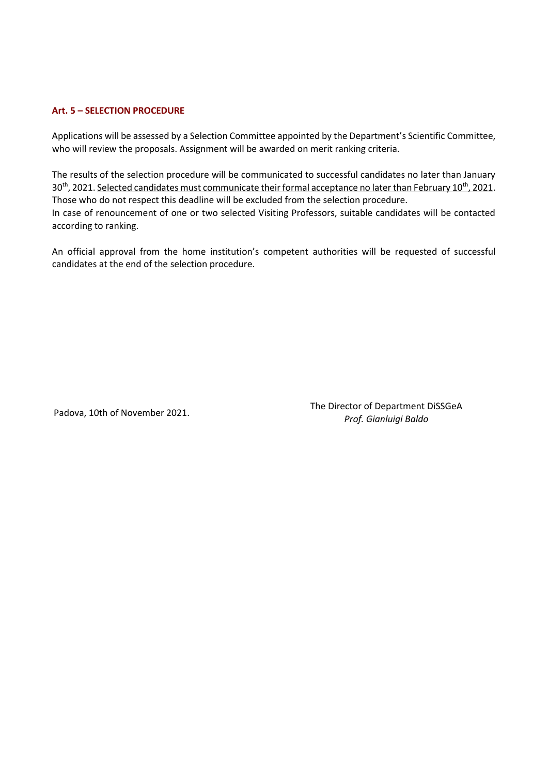## **Art. 5 – SELECTION PROCEDURE**

Applications will be assessed by a Selection Committee appointed by the Department's Scientific Committee, who will review the proposals. Assignment will be awarded on merit ranking criteria.

The results of the selection procedure will be communicated to successful candidates no later than January 30<sup>th</sup>, 2021. Selected candidates must communicate their formal acceptance no later than February 10<sup>th</sup>, 2021. Those who do not respect this deadline will be excluded from the selection procedure. In case of renouncement of one or two selected Visiting Professors, suitable candidates will be contacted according to ranking.

An official approval from the home institution's competent authorities will be requested of successful candidates at the end of the selection procedure.

Padova, 10th of November 2021.

The Director of Department DiSSGeA *Prof. Gianluigi Baldo*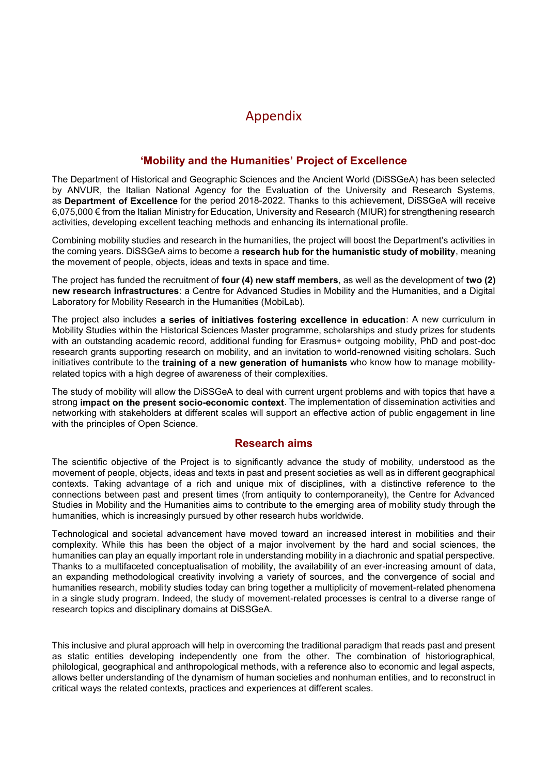# Appendix

# **'Mobility and the Humanities' Project of Excellence**

The Department of Historical and Geographic Sciences and the Ancient World (DiSSGeA) has been selected by ANVUR, the Italian National Agency for the Evaluation of the University and Research Systems, as **Department of Excellence** for the period 2018-2022. Thanks to this achievement, DiSSGeA will receive 6,075,000 € from the Italian Ministry for Education, University and Research (MIUR) for strengthening research activities, developing excellent teaching methods and enhancing its international profile.

Combining mobility studies and research in the humanities, the project will boost the Department's activities in the coming years. DiSSGeA aims to become a **research hub for the humanistic study of mobility**, meaning the movement of people, objects, ideas and texts in space and time.

The project has funded the recruitment of **four (4) new staff members**, as well as the development of **two (2) new research infrastructures**: a Centre for Advanced Studies in Mobility and the Humanities, and a Digital Laboratory for Mobility Research in the Humanities (MobiLab).

The project also includes **a series of initiatives fostering excellence in education**: A new curriculum in Mobility Studies within the Historical Sciences Master programme, scholarships and study prizes for students with an outstanding academic record, additional funding for Erasmus+ outgoing mobility, PhD and post-doc research grants supporting research on mobility, and an invitation to world-renowned visiting scholars. Such initiatives contribute to the **training of a new generation of humanists** who know how to manage mobilityrelated topics with a high degree of awareness of their complexities.

The study of mobility will allow the DiSSGeA to deal with current urgent problems and with topics that have a strong **impact on the present socio-economic context**. The implementation of dissemination activities and networking with stakeholders at different scales will support an effective action of public engagement in line with the principles of Open Science.

# **Research aims**

The scientific objective of the Project is to significantly advance the study of mobility, understood as the movement of people, objects, ideas and texts in past and present societies as well as in different geographical contexts. Taking advantage of a rich and unique mix of disciplines, with a distinctive reference to the connections between past and present times (from antiquity to contemporaneity), the Centre for Advanced Studies in Mobility and the Humanities aims to contribute to the emerging area of mobility study through the humanities, which is increasingly pursued by other research hubs worldwide.

Technological and societal advancement have moved toward an increased interest in mobilities and their complexity. While this has been the object of a major involvement by the hard and social sciences, the humanities can play an equally important role in understanding mobility in a diachronic and spatial perspective. Thanks to a multifaceted conceptualisation of mobility, the availability of an ever-increasing amount of data, an expanding methodological creativity involving a variety of sources, and the convergence of social and humanities research, mobility studies today can bring together a multiplicity of movement-related phenomena in a single study program. Indeed, the study of movement-related processes is central to a diverse range of research topics and disciplinary domains at DiSSGeA.

This inclusive and plural approach will help in overcoming the traditional paradigm that reads past and present as static entities developing independently one from the other. The combination of historiographical, philological, geographical and anthropological methods, with a reference also to economic and legal aspects, allows better understanding of the dynamism of human societies and nonhuman entities, and to reconstruct in critical ways the related contexts, practices and experiences at different scales.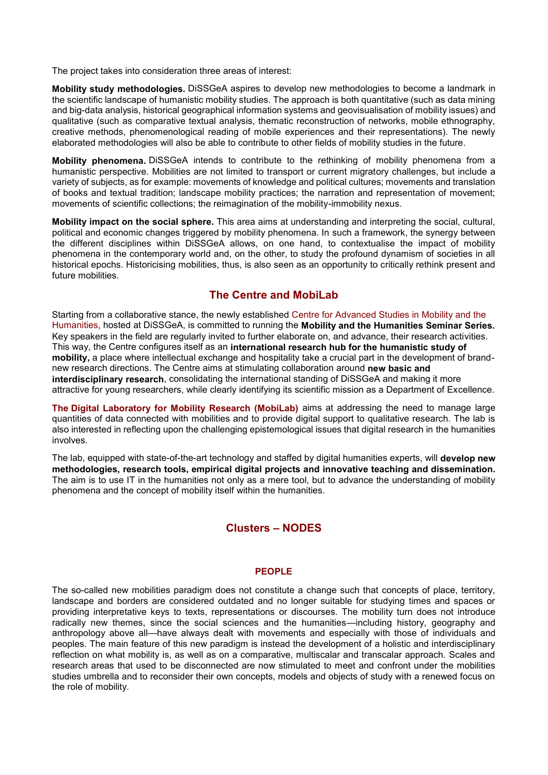The project takes into consideration three areas of interest:

**Mobility study methodologies.** DiSSGeA aspires to develop new methodologies to become a landmark in the scientific landscape of humanistic mobility studies. The approach is both quantitative (such as data mining and big-data analysis, historical geographical information systems and geovisualisation of mobility issues) and qualitative (such as comparative textual analysis, thematic reconstruction of networks, mobile ethnography, creative methods, phenomenological reading of mobile experiences and their representations). The newly elaborated methodologies will also be able to contribute to other fields of mobility studies in the future.

**Mobility phenomena.** DiSSGeA intends to contribute to the rethinking of mobility phenomena from a humanistic perspective. Mobilities are not limited to transport or current migratory challenges, but include a variety of subjects, as for example: movements of knowledge and political cultures; movements and translation of books and textual tradition; landscape mobility practices; the narration and representation of movement; movements of scientific collections; the reimagination of the mobility-immobility nexus.

**Mobility impact on the social sphere.** This area aims at understanding and interpreting the social, cultural, political and economic changes triggered by mobility phenomena. In such a framework, the synergy between the different disciplines within DiSSGeA allows, on one hand, to contextualise the impact of mobility phenomena in the contemporary world and, on the other, to study the profound dynamism of societies in all historical epochs. Historicising mobilities, thus, is also seen as an opportunity to critically rethink present and future mobilities.

# **The Centre and MobiLab**

Starting from a collaborative stance, the newly established Centre for Advanced Studies in Mobility and the Humanities, hosted at DiSSGeA, is committed to running the **Mobility and the Humanities Seminar Series.**  Key speakers in the field are regularly invited to further elaborate on, and advance, their research activities. This way, the Centre configures itself as an **international research hub for the humanistic study of mobility,** a place where intellectual exchange and hospitality take a crucial part in the development of brandnew research directions. The Centre aims at stimulating collaboration around **new basic and interdisciplinary research**, consolidating the international standing of DiSSGeA and making it more attractive for young researchers, while clearly identifying its scientific mission as a Department of Excellence.

**The Digital Laboratory for Mobility Research (MobiLab)** aims at addressing the need to manage large quantities of data connected with mobilities and to provide digital support to qualitative research. The lab is also interested in reflecting upon the challenging epistemological issues that digital research in the humanities involves.

The lab, equipped with state-of-the-art technology and staffed by digital humanities experts, will **develop new methodologies, research tools, empirical digital projects and innovative teaching and dissemination.**  The aim is to use IT in the humanities not only as a mere tool, but to advance the understanding of mobility phenomena and the concept of mobility itself within the humanities.

# **Clusters – NODES**

### **PEOPLE**

The so-called new mobilities paradigm does not constitute a change such that concepts of place, territory, landscape and borders are considered outdated and no longer suitable for studying times and spaces or providing interpretative keys to texts, representations or discourses. The mobility turn does not introduce radically new themes, since the social sciences and the humanities—including history, geography and anthropology above all—have always dealt with movements and especially with those of individuals and peoples. The main feature of this new paradigm is instead the development of a holistic and interdisciplinary reflection on what mobility is, as well as on a comparative, multiscalar and transcalar approach. Scales and research areas that used to be disconnected are now stimulated to meet and confront under the mobilities studies umbrella and to reconsider their own concepts, models and objects of study with a renewed focus on the role of mobility.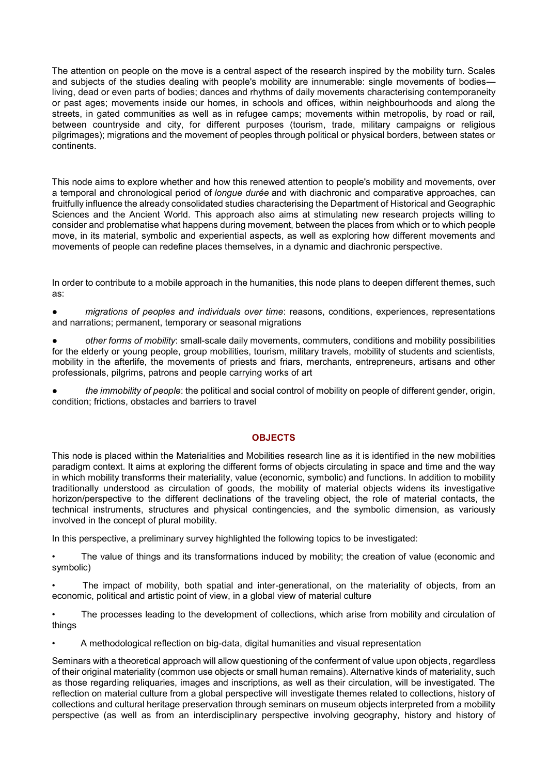The attention on people on the move is a central aspect of the research inspired by the mobility turn. Scales and subjects of the studies dealing with people's mobility are innumerable: single movements of bodiesliving, dead or even parts of bodies; dances and rhythms of daily movements characterising contemporaneity or past ages; movements inside our homes, in schools and offices, within neighbourhoods and along the streets, in gated communities as well as in refugee camps; movements within metropolis, by road or rail, between countryside and city, for different purposes (tourism, trade, military campaigns or religious pilgrimages); migrations and the movement of peoples through political or physical borders, between states or continents.

This node aims to explore whether and how this renewed attention to people's mobility and movements, over a temporal and chronological period of *longue durée* and with diachronic and comparative approaches, can fruitfully influence the already consolidated studies characterising the Department of Historical and Geographic Sciences and the Ancient World. This approach also aims at stimulating new research projects willing to consider and problematise what happens during movement, between the places from which or to which people move, in its material, symbolic and experiential aspects, as well as exploring how different movements and movements of people can redefine places themselves, in a dynamic and diachronic perspective.

In order to contribute to a mobile approach in the humanities, this node plans to deepen different themes, such as:

● *migrations of peoples and individuals over time*: reasons, conditions, experiences, representations and narrations; permanent, temporary or seasonal migrations

other forms of mobility: small-scale daily movements, commuters, conditions and mobility possibilities for the elderly or young people, group mobilities, tourism, military travels, mobility of students and scientists, mobility in the afterlife, the movements of priests and friars, merchants, entrepreneurs, artisans and other professionals, pilgrims, patrons and people carrying works of art

the *immobility of people*: the political and social control of mobility on people of different gender, origin, condition; frictions, obstacles and barriers to travel

### **OBJECTS**

This node is placed within the Materialities and Mobilities research line as it is identified in the new mobilities paradigm context. It aims at exploring the different forms of objects circulating in space and time and the way in which mobility transforms their materiality, value (economic, symbolic) and functions. In addition to mobility traditionally understood as circulation of goods, the mobility of material objects widens its investigative horizon/perspective to the different declinations of the traveling object, the role of material contacts, the technical instruments, structures and physical contingencies, and the symbolic dimension, as variously involved in the concept of plural mobility.

In this perspective, a preliminary survey highlighted the following topics to be investigated:

The value of things and its transformations induced by mobility; the creation of value (economic and symbolic)

• The impact of mobility, both spatial and inter-generational, on the materiality of objects, from an economic, political and artistic point of view, in a global view of material culture

• The processes leading to the development of collections, which arise from mobility and circulation of things

• A methodological reflection on big-data, digital humanities and visual representation

Seminars with a theoretical approach will allow questioning of the conferment of value upon objects, regardless of their original materiality (common use objects or small human remains). Alternative kinds of materiality, such as those regarding reliquaries, images and inscriptions, as well as their circulation, will be investigated. The reflection on material culture from a global perspective will investigate themes related to collections, history of collections and cultural heritage preservation through seminars on museum objects interpreted from a mobility perspective (as well as from an interdisciplinary perspective involving geography, history and history of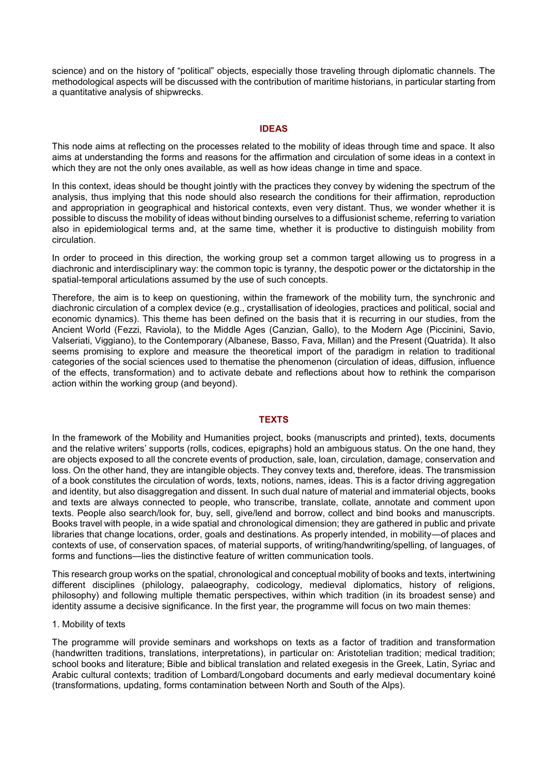science) and on the history of "political" objects, especially those traveling through diplomatic channels. The methodological aspects will be discussed with the contribution of maritime historians, in particular starting from a quantitative analysis of shipwrecks.

### **IDEAS**

This node aims at reflecting on the processes related to the mobility of ideas through time and space. It also aims at understanding the forms and reasons for the affirmation and circulation of some ideas in a context in which they are not the only ones available, as well as how ideas change in time and space.

In this context, ideas should be thought jointly with the practices they convey by widening the spectrum of the analysis, thus implying that this node should also research the conditions for their affirmation, reproduction and appropriation in geographical and historical contexts, even very distant. Thus, we wonder whether it is possible to discuss the mobility of ideas without binding ourselves to a diffusionist scheme, referring to variation also in epidemiological terms and, at the same time, whether it is productive to distinguish mobility from circulation.

In order to proceed in this direction, the working group set a common target allowing us to progress in a diachronic and interdisciplinary way: the common topic is tyranny, the despotic power or the dictatorship in the spatial-temporal articulations assumed by the use of such concepts.

Therefore, the aim is to keep on questioning, within the framework of the mobility turn, the synchronic and diachronic circulation of a complex device (e.g., crystallisation of ideologies, practices and political, social and economic dynamics). This theme has been defined on the basis that it is recurring in our studies, from the Ancient World (Fezzi, Raviola), to the Middle Ages (Canzian, Gallo), to the Modern Age (Piccinini, Savio, Valseriati, Viggiano), to the Contemporary (Albanese, Basso, Fava, Millan) and the Present (Quatrida). It also seems promising to explore and measure the theoretical import of the paradigm in relation to traditional categories of the social sciences used to thematise the phenomenon (circulation of ideas, diffusion, influence of the effects, transformation) and to activate debate and reflections about how to rethink the comparison action within the working group (and beyond).

#### **TEXTS**

In the framework of the Mobility and Humanities project, books (manuscripts and printed), texts, documents and the relative writers' supports (rolls, codices, epigraphs) hold an ambiguous status. On the one hand, they are objects exposed to all the concrete events of production, sale, loan, circulation, damage, conservation and loss. On the other hand, they are intangible objects. They convey texts and, therefore, ideas. The transmission of a book constitutes the circulation of words, texts, notions, names, ideas. This is a factor driving aggregation and identity, but also disaggregation and dissent. In such dual nature of material and immaterial objects, books and texts are always connected to people, who transcribe, translate, collate, annotate and comment upon texts. People also search/look for, buy, sell, give/lend and borrow, collect and bind books and manuscripts. Books travel with people, in a wide spatial and chronological dimension; they are gathered in public and private libraries that change locations, order, goals and destinations. As properly intended, in mobility—of places and contexts of use, of conservation spaces, of material supports, of writing/handwriting/spelling, of languages, of forms and functions—lies the distinctive feature of written communication tools.

This research group works on the spatial, chronological and conceptual mobility of books and texts, intertwining different disciplines (philology, palaeography, codicology, medieval diplomatics, history of religions, philosophy) and following multiple thematic perspectives, within which tradition (in its broadest sense) and identity assume a decisive significance. In the first year, the programme will focus on two main themes:

#### 1. Mobility of texts

The programme will provide seminars and workshops on texts as a factor of tradition and transformation (handwritten traditions, translations, interpretations), in particular on: Aristotelian tradition; medical tradition; school books and literature; Bible and biblical translation and related exegesis in the Greek, Latin, Syriac and Arabic cultural contexts; tradition of Lombard/Longobard documents and early medieval documentary koiné (transformations, updating, forms contamination between North and South of the Alps).